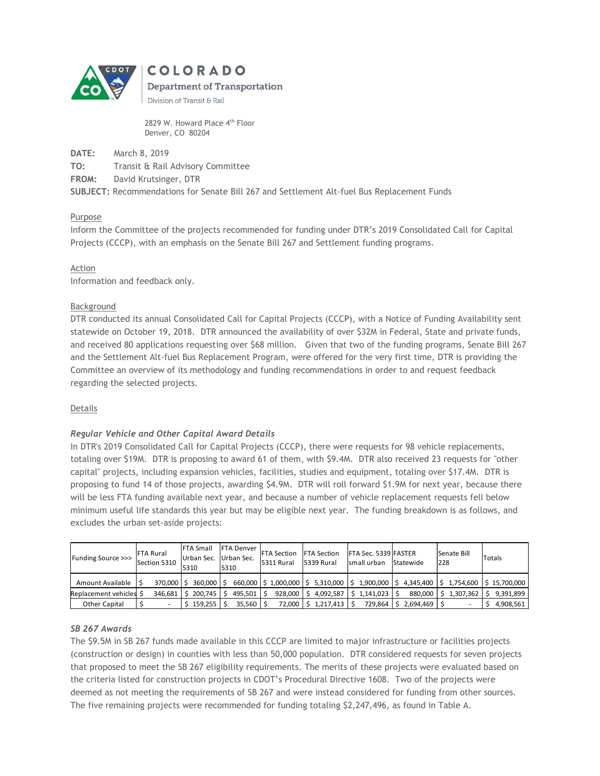

2829 W. Howard Place 4<sup>th</sup> Floor Denver, CO 80204

DATE: March 8, 2019

TO: Transit & Rail Advisory Committee

FROM: David Krutsinger, DTR

SUBJECT: Recommendations for Senate Bill 267 and Settlement Alt-fuel Bus Replacement Funds

# Purpose

Inform the Committee of the projects recommended for funding under DTR's 2019 Consolidated Call for Capital Projects (CCCP), with an emphasis on the Senate Bill 267 and Settlement funding programs.

# Action

Information and feedback only.

# Background

DTR conducted its annual Consolidated Call for Capital Projects (CCCP), with a Notice of Funding Availability sent statewide on October 19, 2018. DTR announced the availability of over \$32M in Federal, State and private funds, and received 80 applications requesting over \$68 million. Given that two of the funding programs, Senate Bill 267 and the Settlement Alt-fuel Bus Replacement Program, were offered for the very first time, DTR is providing the Committee an overview of its methodology and funding recommendations in order to and request feedback regarding the selected projects.

#### Details

# Regular Vehicle and Other Capital Award Details

In DTR's 2019 Consolidated Call for Capital Projects (CCCP), there were requests for 98 vehicle replacements, totaling over \$19M. DTR is proposing to award 61 of them, with \$9.4M. DTR also received 23 requests for "other capital" projects, including expansion vehicles, facilities, studies and equipment, totaling over \$17.4M. DTR is proposing to fund 14 of those projects, awarding \$4.9M. DTR will roll forward \$1.9M for next year, because there will be less FTA funding available next year, and because a number of vehicle replacement requests fell below minimum useful life standards this year but may be eligible next year. The funding breakdown is as follows, and excludes the urban set-aside projects:

| Funding Source >>>      | <b>IFTA Rural</b><br>Section 5310 | <b>FTA Small</b><br>Urban Sec. Urban Sec.<br>5310 | 5310 | <b>FTA Denver</b>  | <b>FTA Section FTA Section</b><br>15311 Rural | 5339 Rural     | <b>FTA Sec. 5339 FASTER</b><br>Ismall urban | Statewide | Senate Bill<br>228 | Totals       |
|-------------------------|-----------------------------------|---------------------------------------------------|------|--------------------|-----------------------------------------------|----------------|---------------------------------------------|-----------|--------------------|--------------|
| Amount Available        | 370,000                           | 360,000 S                                         |      |                    | 660,000   \$1,000,000   \$5,310,000   \$      |                | 1.900.000                                   | 4.345.400 | 1.754.600          | \$15.700.000 |
| Replacement vehicles \$ | 346,681                           | 200.745                                           |      | 495.501            | 928.000                                       |                | \$4,092,587 \$1,141,023                     | 880,000   | 1,307,362          | 9.391.899    |
| Other Capital           |                                   | 159.255                                           |      | $35,560$ $\mid$ \$ | 72,000                                        | l.217.413   \$ | 729,864                                     | 2,694,469 |                    | 4,908,561    |

#### SB 267 Awards

The \$9.5M in SB 267 funds made available in this CCCP are limited to major infrastructure or facilities projects (construction or design) in counties with less than 50,000 population. DTR considered requests for seven projects that proposed to meet the SB 267 eligibility requirements. The merits of these projects were evaluated based on the criteria listed for construction projects in CDOT's Procedural Directive 1608. Two of the projects were deemed as not meeting the requirements of SB 267 and were instead considered for funding from other sources. The five remaining projects were recommended for funding totaling \$2,247,496, as found in Table A.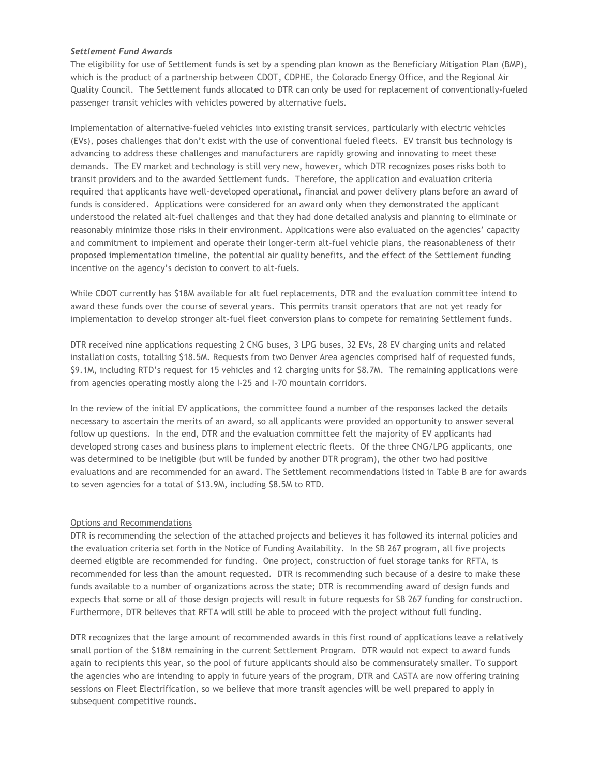#### Settlement Fund Awards

The eligibility for use of Settlement funds is set by a spending plan known as the Beneficiary Mitigation Plan (BMP), which is the product of a partnership between CDOT, CDPHE, the Colorado Energy Office, and the Regional Air Quality Council. The Settlement funds allocated to DTR can only be used for replacement of conventionally-fueled passenger transit vehicles with vehicles powered by alternative fuels.

Implementation of alternative-fueled vehicles into existing transit services, particularly with electric vehicles (EVs), poses challenges that don't exist with the use of conventional fueled fleets. EV transit bus technology is advancing to address these challenges and manufacturers are rapidly growing and innovating to meet these demands. The EV market and technology is still very new, however, which DTR recognizes poses risks both to transit providers and to the awarded Settlement funds. Therefore, the application and evaluation criteria required that applicants have well-developed operational, financial and power delivery plans before an award of funds is considered. Applications were considered for an award only when they demonstrated the applicant understood the related alt-fuel challenges and that they had done detailed analysis and planning to eliminate or reasonably minimize those risks in their environment. Applications were also evaluated on the agencies' capacity and commitment to implement and operate their longer-term alt-fuel vehicle plans, the reasonableness of their proposed implementation timeline, the potential air quality benefits, and the effect of the Settlement funding incentive on the agency's decision to convert to alt-fuels.

While CDOT currently has \$18M available for alt fuel replacements, DTR and the evaluation committee intend to award these funds over the course of several years. This permits transit operators that are not yet ready for implementation to develop stronger alt-fuel fleet conversion plans to compete for remaining Settlement funds.

DTR received nine applications requesting 2 CNG buses, 3 LPG buses, 32 EVs, 28 EV charging units and related installation costs, totalling \$18.5M. Requests from two Denver Area agencies comprised half of requested funds, \$9.1M, including RTD's request for 15 vehicles and 12 charging units for \$8.7M. The remaining applications were from agencies operating mostly along the I-25 and I-70 mountain corridors.

In the review of the initial EV applications, the committee found a number of the responses lacked the details necessary to ascertain the merits of an award, so all applicants were provided an opportunity to answer several follow up questions. In the end, DTR and the evaluation committee felt the majority of EV applicants had developed strong cases and business plans to implement electric fleets. Of the three CNG/LPG applicants, one was determined to be ineligible (but will be funded by another DTR program), the other two had positive evaluations and are recommended for an award. The Settlement recommendations listed in Table B are for awards to seven agencies for a total of \$13.9M, including \$8.5M to RTD.

#### Options and Recommendations

DTR is recommending the selection of the attached projects and believes it has followed its internal policies and the evaluation criteria set forth in the Notice of Funding Availability. In the SB 267 program, all five projects deemed eligible are recommended for funding. One project, construction of fuel storage tanks for RFTA, is recommended for less than the amount requested. DTR is recommending such because of a desire to make these funds available to a number of organizations across the state; DTR is recommending award of design funds and expects that some or all of those design projects will result in future requests for SB 267 funding for construction. Furthermore, DTR believes that RFTA will still be able to proceed with the project without full funding.

DTR recognizes that the large amount of recommended awards in this first round of applications leave a relatively small portion of the \$18M remaining in the current Settlement Program. DTR would not expect to award funds again to recipients this year, so the pool of future applicants should also be commensurately smaller. To support the agencies who are intending to apply in future years of the program, DTR and CASTA are now offering training sessions on Fleet Electrification, so we believe that more transit agencies will be well prepared to apply in subsequent competitive rounds.